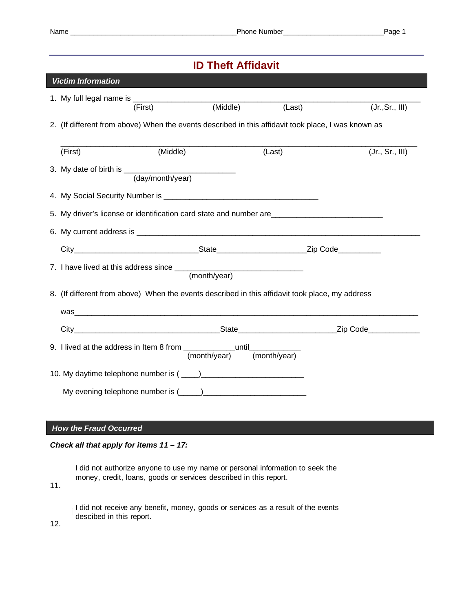# **ID Theft Affidavit**

| <b>Victim Information</b>                                                                           |                                                                                                 |          |              |              |  |                 |
|-----------------------------------------------------------------------------------------------------|-------------------------------------------------------------------------------------------------|----------|--------------|--------------|--|-----------------|
|                                                                                                     |                                                                                                 |          |              |              |  |                 |
|                                                                                                     |                                                                                                 | (First)  | (Middle)     | (Last)       |  | (Jr., Sr., III) |
| 2. (If different from above) When the events described in this affidavit took place, I was known as |                                                                                                 |          |              |              |  |                 |
|                                                                                                     |                                                                                                 |          |              |              |  |                 |
|                                                                                                     | (First)                                                                                         | (Middle) |              | (Last)       |  | (Jr., Sr., III) |
|                                                                                                     |                                                                                                 |          |              |              |  |                 |
|                                                                                                     |                                                                                                 |          |              |              |  |                 |
|                                                                                                     |                                                                                                 |          |              |              |  |                 |
|                                                                                                     | 5. My driver's license or identification card state and number are                              |          |              |              |  |                 |
|                                                                                                     |                                                                                                 |          |              |              |  |                 |
|                                                                                                     |                                                                                                 |          |              |              |  |                 |
|                                                                                                     |                                                                                                 |          |              |              |  |                 |
|                                                                                                     |                                                                                                 |          |              |              |  |                 |
|                                                                                                     | 8. (If different from above) When the events described in this affidavit took place, my address |          |              |              |  |                 |
|                                                                                                     |                                                                                                 |          |              |              |  |                 |
|                                                                                                     |                                                                                                 |          |              |              |  |                 |
|                                                                                                     | 9. I lived at the address in Item 8 from _________________until_________________                |          | (month/year) | (month/year) |  |                 |
|                                                                                                     |                                                                                                 |          |              |              |  |                 |
|                                                                                                     |                                                                                                 |          |              |              |  |                 |
|                                                                                                     |                                                                                                 |          |              |              |  |                 |
|                                                                                                     |                                                                                                 |          |              |              |  |                 |

## *How the Fraud Occurred*

### *Check all that apply for items 11 – 17:*

I did not authorize anyone to use my name or personal information to seek the money, credit, loans, goods or services described in this report.

11.

I did not receive any benefit, money, goods or services as a result of the events descibed in this report.

12.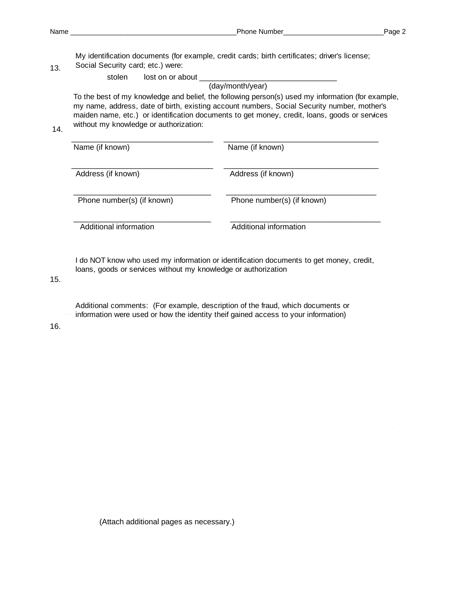13.

My identification documents (for example, credit cards; birth certificates; driver's license; Social Security card; etc.) were:

stolen lost on or about

(day/month/year)

To the best of my knowledge and belief, the following person(s) used my information (for example, my name, address, date of birth, existing account numbers, Social Security number, mother's maiden name, etc.) or identification documents to get money, credit, loans, goods or services without my knowledge or authorization:

14.

| Name (if known)            | Name (if known)            |  |  |
|----------------------------|----------------------------|--|--|
| Address (if known)         | Address (if known)         |  |  |
| Phone number(s) (if known) | Phone number(s) (if known) |  |  |
| Additional information     | Additional information     |  |  |

I do NOT know who used my information or identification documents to get money, credit, loans, goods or services without my knowledge or authorization

15.

Additional comments: (For example, description of the fraud, which documents or information were used or how the identity theif gained access to your information)

16.

(Attach additional pages as necessary.)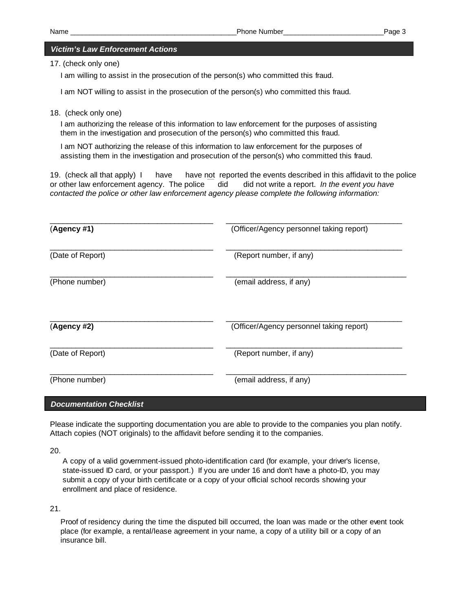#### *Victim's Law Enforcement Actions*

17. (check only one)

I am willing to assist in the prosecution of the person(s) who committed this fraud.

I am NOT willing to assist in the prosecution of the person(s) who committed this fraud.

18. (check only one)

I am authorizing the release of this information to law enforcement for the purposes of assisting them in the investigation and prosecution of the person(s) who committed this fraud.

I am NOT authorizing the release of this information to law enforcement for the purposes of assisting them in the investigation and prosecution of the person(s) who committed this fraud.

19. (check all that apply) I have have not reported the events described in this affidavit to the police or other law enforcement agency. The police did did not write a report. *In the event you have contacted the police or other law enforcement agency please complete the following information:* 

| (Agency #1)                    | (Officer/Agency personnel taking report) |
|--------------------------------|------------------------------------------|
| (Date of Report)               | (Report number, if any)                  |
| (Phone number)                 | (email address, if any)                  |
| (Agency #2)                    | (Officer/Agency personnel taking report) |
| (Date of Report)               | (Report number, if any)                  |
| (Phone number)                 | (email address, if any)                  |
| <b>Documentation Checklist</b> |                                          |

Please indicate the supporting documentation you are able to provide to the companies you plan notify. Attach copies (NOT originals) to the affidavit before sending it to the companies.

20.

A copy of a valid government-issued photo-identification card (for example, your driver's license, state-issued ID card, or your passport.) If you are under 16 and don't have a photo-ID, you may submit a copy of your birth certificate or a copy of your official school records showing your enrollment and place of residence.

21.

Proof of residency during the time the disputed bill occurred, the loan was made or the other event took place (for example, a rental/lease agreement in your name, a copy of a utility bill or a copy of an insurance bill.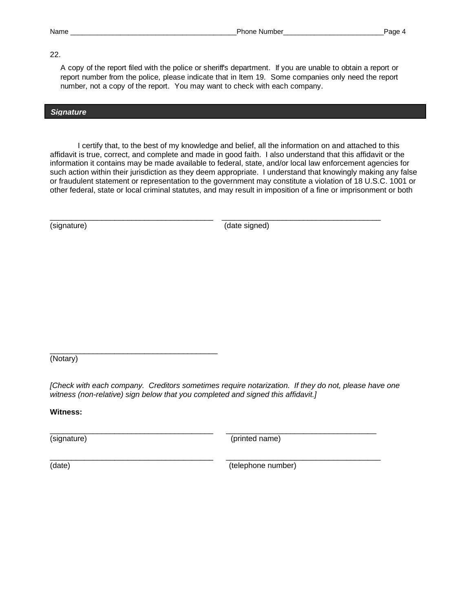#### 22.

A copy of the report filed with the police or sheriff's department. If you are unable to obtain a report or report number from the police, please indicate that in Item 19. Some companies only need the report number, not a copy of the report. You may want to check with each company.

#### *Signature*

I certify that, to the best of my knowledge and belief, all the information on and attached to this affidavit is true, correct, and complete and made in good faith. I also understand that this affidavit or the information it contains may be made available to federal, state, and/or local law enforcement agencies for such action within their jurisdiction as they deem appropriate. I understand that knowingly making any false or fraudulent statement or representation to the government may constitute a violation of 18 U.S.C. 1001 or other federal, state or local criminal statutes, and may result in imposition of a fine or imprisonment or both

\_\_\_\_\_\_\_\_\_\_\_\_\_\_\_\_\_\_\_\_\_\_\_\_\_\_\_\_\_\_\_\_\_\_\_\_\_\_ \_\_\_\_\_\_\_\_\_\_\_\_\_\_\_\_\_\_\_\_\_\_\_\_\_\_\_\_\_\_\_\_\_\_\_\_\_

(signature) (date signed)

(Notary)

\_\_\_\_\_\_\_\_\_\_\_\_\_\_\_\_\_\_\_\_\_\_\_\_\_\_\_\_\_\_\_\_\_\_\_\_\_\_\_

*[Check with each company. Creditors sometimes require notarization. If they do not, please have one witness (non-relative) sign below that you completed and signed this affidavit.]* 

\_\_\_\_\_\_\_\_\_\_\_\_\_\_\_\_\_\_\_\_\_\_\_\_\_\_\_\_\_\_\_\_\_\_\_\_\_\_ \_\_\_\_\_\_\_\_\_\_\_\_\_\_\_\_\_\_\_\_\_\_\_\_\_\_\_\_\_\_\_\_\_\_\_

\_\_\_\_\_\_\_\_\_\_\_\_\_\_\_\_\_\_\_\_\_\_\_\_\_\_\_\_\_\_\_\_\_\_\_\_\_\_ \_\_\_\_\_\_\_\_\_\_\_\_\_\_\_\_\_\_\_\_\_\_\_\_\_\_\_\_\_\_\_\_\_\_\_\_

**Witness:**

(signature) (printed name)

(date) (date) (telephone number)